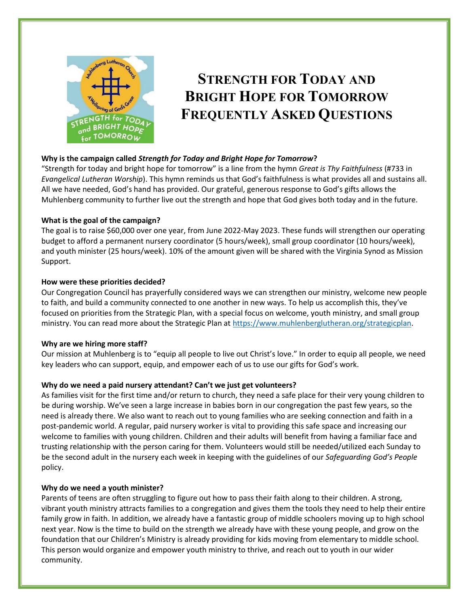

# **STRENGTH FOR TODAY AND BRIGHT HOPE FOR TOMORROW FREQUENTLY ASKED QUESTIONS**

# **Why is the campaign called** *Strength for Today and Bright Hope for Tomorrow***?**

"Strength for today and bright hope for tomorrow" is a line from the hymn *Great is Thy Faithfulness* (#733 in *Evangelical Lutheran Worship*). This hymn reminds us that God's faithfulness is what provides all and sustains all. All we have needed, God's hand has provided. Our grateful, generous response to God's gifts allows the Muhlenberg community to further live out the strength and hope that God gives both today and in the future.

## **What is the goal of the campaign?**

The goal is to raise \$60,000 over one year, from June 2022-May 2023. These funds will strengthen our operating budget to afford a permanent nursery coordinator (5 hours/week), small group coordinator (10 hours/week), and youth minister (25 hours/week). 10% of the amount given will be shared with the Virginia Synod as Mission Support.

#### **How were these priorities decided?**

Our Congregation Council has prayerfully considered ways we can strengthen our ministry, welcome new people to faith, and build a community connected to one another in new ways. To help us accomplish this, they've focused on priorities from the Strategic Plan, with a special focus on welcome, youth ministry, and small group ministry. You can read more about the Strategic Plan at [https://www.muhlenberglutheran.org/strategicplan.](https://www.muhlenberglutheran.org/strategicplan)

## **Why are we hiring more staff?**

Our mission at Muhlenberg is to "equip all people to live out Christ's love." In order to equip all people, we need key leaders who can support, equip, and empower each of us to use our gifts for God's work.

## **Why do we need a paid nursery attendant? Can't we just get volunteers?**

As families visit for the first time and/or return to church, they need a safe place for their very young children to be during worship. We've seen a large increase in babies born in our congregation the past few years, so the need is already there. We also want to reach out to young families who are seeking connection and faith in a post-pandemic world. A regular, paid nursery worker is vital to providing this safe space and increasing our welcome to families with young children. Children and their adults will benefit from having a familiar face and trusting relationship with the person caring for them. Volunteers would still be needed/utilized each Sunday to be the second adult in the nursery each week in keeping with the guidelines of our *Safeguarding God's People* policy.

#### **Why do we need a youth minister?**

Parents of teens are often struggling to figure out how to pass their faith along to their children. A strong, vibrant youth ministry attracts families to a congregation and gives them the tools they need to help their entire family grow in faith. In addition, we already have a fantastic group of middle schoolers moving up to high school next year. Now is the time to build on the strength we already have with these young people, and grow on the foundation that our Children's Ministry is already providing for kids moving from elementary to middle school. This person would organize and empower youth ministry to thrive, and reach out to youth in our wider community.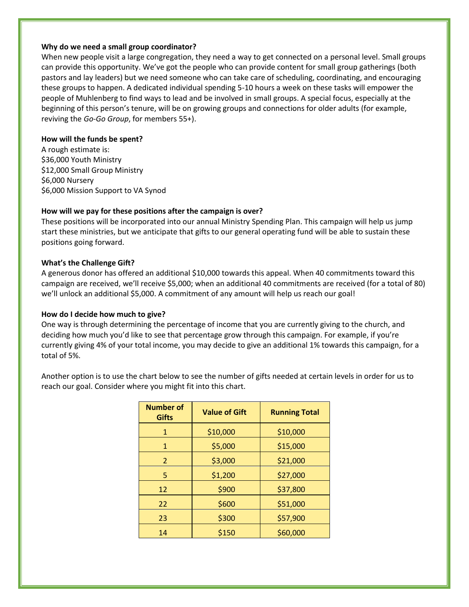#### **Why do we need a small group coordinator?**

When new people visit a large congregation, they need a way to get connected on a personal level. Small groups can provide this opportunity. We've got the people who can provide content for small group gatherings (both pastors and lay leaders) but we need someone who can take care of scheduling, coordinating, and encouraging these groups to happen. A dedicated individual spending 5-10 hours a week on these tasks will empower the people of Muhlenberg to find ways to lead and be involved in small groups. A special focus, especially at the beginning of this person's tenure, will be on growing groups and connections for older adults (for example, reviving the *Go-Go Group*, for members 55+).

#### **How will the funds be spent?**

A rough estimate is: \$36,000 Youth Ministry \$12,000 Small Group Ministry \$6,000 Nursery \$6,000 Mission Support to VA Synod

## **How will we pay for these positions after the campaign is over?**

These positions will be incorporated into our annual Ministry Spending Plan. This campaign will help us jump start these ministries, but we anticipate that gifts to our general operating fund will be able to sustain these positions going forward.

# **What's the Challenge Gift?**

A generous donor has offered an additional \$10,000 towards this appeal. When 40 commitments toward this campaign are received, we'll receive \$5,000; when an additional 40 commitments are received (for a total of 80) we'll unlock an additional \$5,000. A commitment of any amount will help us reach our goal!

## **How do I decide how much to give?**

One way is through determining the percentage of income that you are currently giving to the church, and deciding how much you'd like to see that percentage grow through this campaign. For example, if you're currently giving 4% of your total income, you may decide to give an additional 1% towards this campaign, for a total of 5%.

Another option is to use the chart below to see the number of gifts needed at certain levels in order for us to reach our goal. Consider where you might fit into this chart.

| <b>Number of</b><br><b>Gifts</b> | <b>Value of Gift</b> | <b>Running Total</b> |
|----------------------------------|----------------------|----------------------|
| $\mathbf{1}$                     | \$10,000             | \$10,000             |
| $\mathbf{1}$                     | \$5,000              | \$15,000             |
| $\overline{2}$                   | \$3,000              | \$21,000             |
| 5                                | \$1,200              | \$27,000             |
| 12                               | \$900                | \$37,800             |
| 22                               | \$600                | \$51,000             |
| 23                               | \$300                | \$57,900             |
| 14                               | \$150                | \$60,000             |